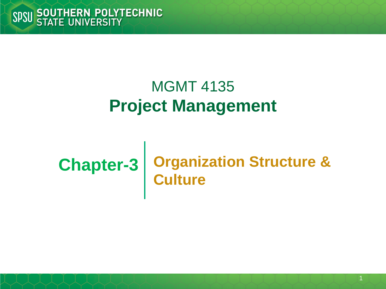#### MGMT 4135 **Project Management**

#### **Chapter-3 Organization Structure & Culture**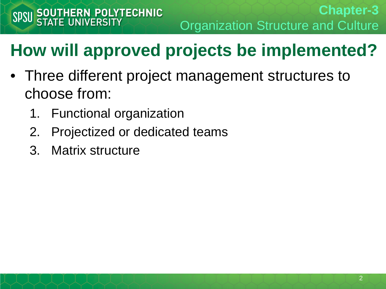**Chapter-3** Organization Structure and Culture

- Three different project management structures to choose from:
	- 1. Functional organization
	- 2. Projectized or dedicated teams
	- 3. Matrix structure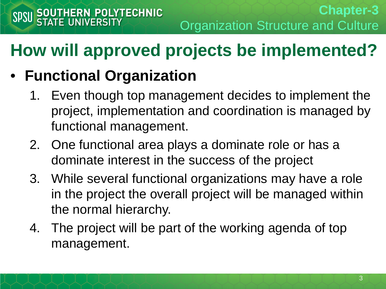#### • **Functional Organization**

- 1. Even though top management decides to implement the project, implementation and coordination is managed by functional management.
- 2. One functional area plays a dominate role or has a dominate interest in the success of the project
- 3. While several functional organizations may have a role in the project the overall project will be managed within the normal hierarchy.
- 4. The project will be part of the working agenda of top management.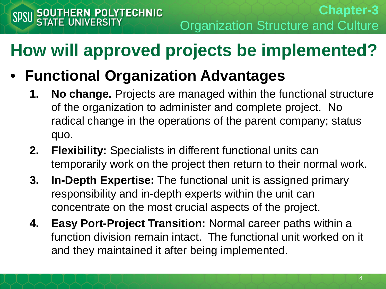- **Functional Organization Advantages**
	- **1. No change.** Projects are managed within the functional structure of the organization to administer and complete project. No radical change in the operations of the parent company; status quo.
	- **2. Flexibility:** Specialists in different functional units can temporarily work on the project then return to their normal work.
	- **3. In-Depth Expertise:** The functional unit is assigned primary responsibility and in-depth experts within the unit can concentrate on the most crucial aspects of the project.
	- **4. Easy Port-Project Transition:** Normal career paths within a function division remain intact. The functional unit worked on it and they maintained it after being implemented.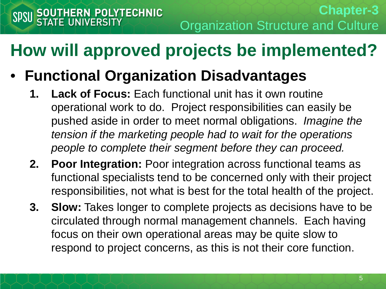- **Functional Organization Disadvantages**
	- **1. Lack of Focus:** Each functional unit has it own routine operational work to do. Project responsibilities can easily be pushed aside in order to meet normal obligations. *Imagine the tension if the marketing people had to wait for the operations people to complete their segment before they can proceed.*
	- **2. Poor Integration:** Poor integration across functional teams as functional specialists tend to be concerned only with their project responsibilities, not what is best for the total health of the project.
	- **3. Slow:** Takes longer to complete projects as decisions have to be circulated through normal management channels. Each having focus on their own operational areas may be quite slow to respond to project concerns, as this is not their core function.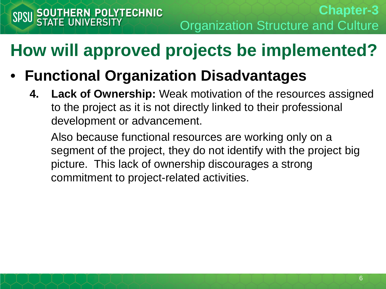- **Functional Organization Disadvantages**
	- **4. Lack of Ownership:** Weak motivation of the resources assigned to the project as it is not directly linked to their professional development or advancement.

Also because functional resources are working only on a segment of the project, they do not identify with the project big picture. This lack of ownership discourages a strong commitment to project-related activities.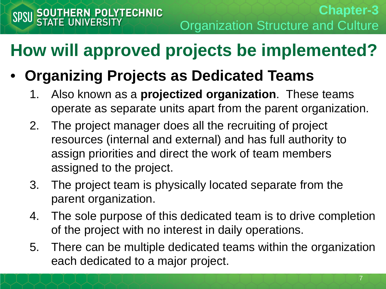#### • **Organizing Projects as Dedicated Teams**

- 1. Also known as a **projectized organization**. These teams operate as separate units apart from the parent organization.
- 2. The project manager does all the recruiting of project resources (internal and external) and has full authority to assign priorities and direct the work of team members assigned to the project.
- 3. The project team is physically located separate from the parent organization.
- 4. The sole purpose of this dedicated team is to drive completion of the project with no interest in daily operations.
- 5. There can be multiple dedicated teams within the organization each dedicated to a major project.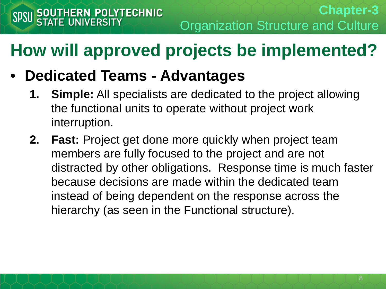#### • **Dedicated Teams - Advantages**

- **1. Simple:** All specialists are dedicated to the project allowing the functional units to operate without project work interruption.
- **2. Fast:** Project get done more quickly when project team members are fully focused to the project and are not distracted by other obligations. Response time is much faster because decisions are made within the dedicated team instead of being dependent on the response across the hierarchy (as seen in the Functional structure).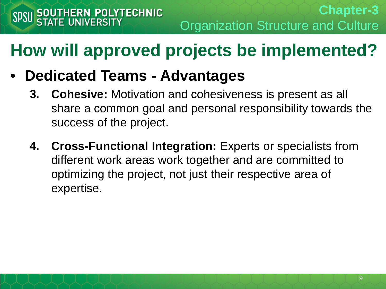#### • **Dedicated Teams - Advantages**

- **3. Cohesive:** Motivation and cohesiveness is present as all share a common goal and personal responsibility towards the success of the project.
- **4. Cross-Functional Integration:** Experts or specialists from different work areas work together and are committed to optimizing the project, not just their respective area of expertise.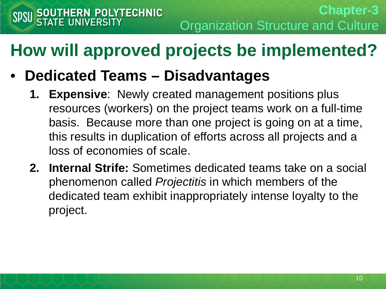- **Dedicated Teams – Disadvantages**
	- **1. Expensive**: Newly created management positions plus resources (workers) on the project teams work on a full-time basis. Because more than one project is going on at a time, this results in duplication of efforts across all projects and a loss of economies of scale.
	- **2. Internal Strife:** Sometimes dedicated teams take on a social phenomenon called *Projectitis* in which members of the dedicated team exhibit inappropriately intense loyalty to the project.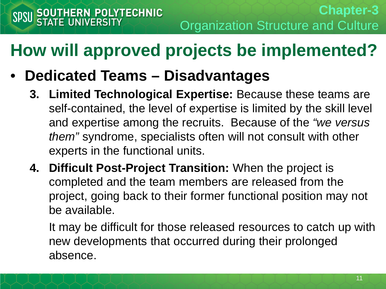- **Dedicated Teams – Disadvantages**
	- **3. Limited Technological Expertise:** Because these teams are self-contained, the level of expertise is limited by the skill level and expertise among the recruits. Because of the *"we versus them"* syndrome, specialists often will not consult with other experts in the functional units.
	- **4. Difficult Post-Project Transition:** When the project is completed and the team members are released from the project, going back to their former functional position may not be available.

It may be difficult for those released resources to catch up with new developments that occurred during their prolonged absence.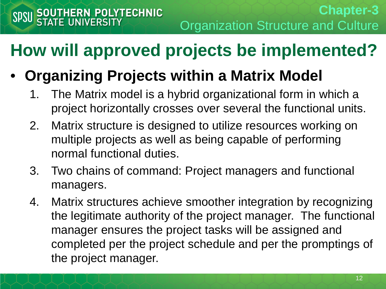#### • **Organizing Projects within a Matrix Model**

- 1. The Matrix model is a hybrid organizational form in which a project horizontally crosses over several the functional units.
- 2. Matrix structure is designed to utilize resources working on multiple projects as well as being capable of performing normal functional duties.
- 3. Two chains of command: Project managers and functional managers.
- 4. Matrix structures achieve smoother integration by recognizing the legitimate authority of the project manager. The functional manager ensures the project tasks will be assigned and completed per the project schedule and per the promptings of the project manager.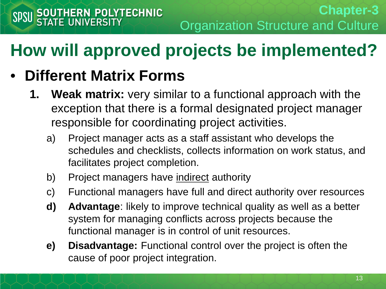- **1. Weak matrix:** very similar to a functional approach with the exception that there is a formal designated project manager responsible for coordinating project activities.
	- a) Project manager acts as a staff assistant who develops the schedules and checklists, collects information on work status, and facilitates project completion.
	- b) Project managers have indirect authority
	- c) Functional managers have full and direct authority over resources
	- **d) Advantage**: likely to improve technical quality as well as a better system for managing conflicts across projects because the functional manager is in control of unit resources.
	- **e) Disadvantage:** Functional control over the project is often the cause of poor project integration.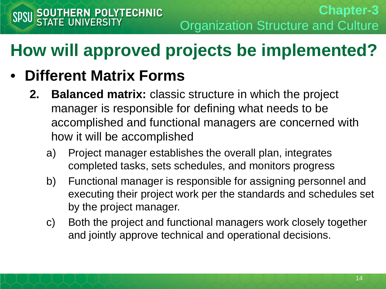- **2. Balanced matrix:** classic structure in which the project manager is responsible for defining what needs to be accomplished and functional managers are concerned with how it will be accomplished
	- a) Project manager establishes the overall plan, integrates completed tasks, sets schedules, and monitors progress
	- b) Functional manager is responsible for assigning personnel and executing their project work per the standards and schedules set by the project manager.
	- c) Both the project and functional managers work closely together and jointly approve technical and operational decisions.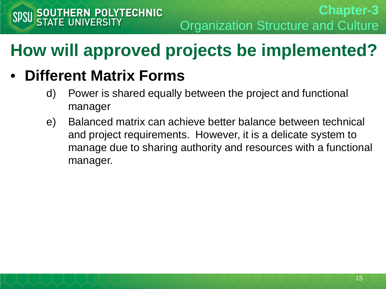- d) Power is shared equally between the project and functional manager
- e) Balanced matrix can achieve better balance between technical and project requirements. However, it is a delicate system to manage due to sharing authority and resources with a functional manager.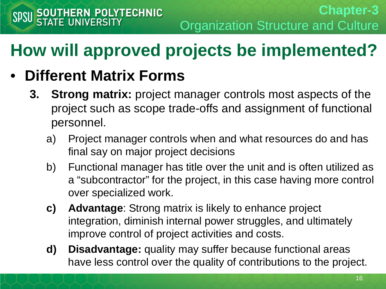- **3. Strong matrix:** project manager controls most aspects of the project such as scope trade-offs and assignment of functional personnel.
	- a) Project manager controls when and what resources do and has final say on major project decisions
	- b) Functional manager has title over the unit and is often utilized as a "subcontractor" for the project, in this case having more control over specialized work.
	- **c) Advantage**: Strong matrix is likely to enhance project integration, diminish internal power struggles, and ultimately improve control of project activities and costs.
	- **d) Disadvantage:** quality may suffer because functional areas have less control over the quality of contributions to the project.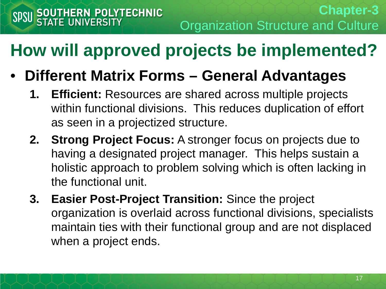- **Different Matrix Forms – General Advantages**
	- **1. Efficient:** Resources are shared across multiple projects within functional divisions. This reduces duplication of effort as seen in a projectized structure.
	- **2. Strong Project Focus:** A stronger focus on projects due to having a designated project manager. This helps sustain a holistic approach to problem solving which is often lacking in the functional unit.
	- **3. Easier Post-Project Transition:** Since the project organization is overlaid across functional divisions, specialists maintain ties with their functional group and are not displaced when a project ends.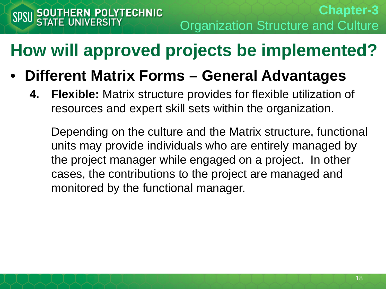- **Different Matrix Forms – General Advantages**
	- **4. Flexible:** Matrix structure provides for flexible utilization of resources and expert skill sets within the organization.

Depending on the culture and the Matrix structure, functional units may provide individuals who are entirely managed by the project manager while engaged on a project. In other cases, the contributions to the project are managed and monitored by the functional manager.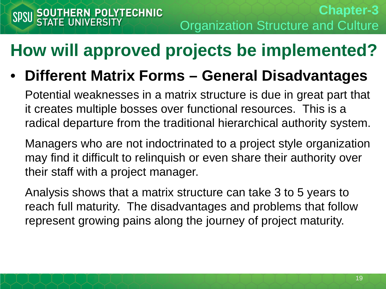• **Different Matrix Forms – General Disadvantages**

Potential weaknesses in a matrix structure is due in great part that it creates multiple bosses over functional resources. This is a radical departure from the traditional hierarchical authority system.

Managers who are not indoctrinated to a project style organization may find it difficult to relinquish or even share their authority over their staff with a project manager.

Analysis shows that a matrix structure can take 3 to 5 years to reach full maturity. The disadvantages and problems that follow represent growing pains along the journey of project maturity.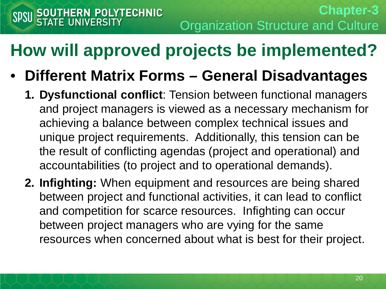- **Different Matrix Forms – General Disadvantages**
	- **1. Dysfunctional conflict**: Tension between functional managers and project managers is viewed as a necessary mechanism for achieving a balance between complex technical issues and unique project requirements. Additionally, this tension can be the result of conflicting agendas (project and operational) and accountabilities (to project and to operational demands).
	- **2. Infighting:** When equipment and resources are being shared between project and functional activities, it can lead to conflict and competition for scarce resources. Infighting can occur between project managers who are vying for the same resources when concerned about what is best for their project.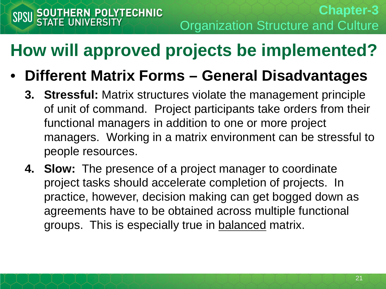- **Different Matrix Forms – General Disadvantages**
	- **3. Stressful:** Matrix structures violate the management principle of unit of command. Project participants take orders from their functional managers in addition to one or more project managers. Working in a matrix environment can be stressful to people resources.
	- **4. Slow:** The presence of a project manager to coordinate project tasks should accelerate completion of projects. In practice, however, decision making can get bogged down as agreements have to be obtained across multiple functional groups. This is especially true in balanced matrix.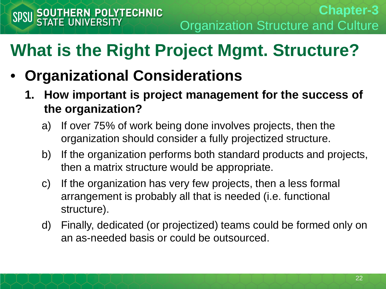# **What is the Right Project Mgmt. Structure?**

- **Organizational Considerations**
	- **1. How important is project management for the success of the organization?**
		- a) If over 75% of work being done involves projects, then the organization should consider a fully projectized structure.
		- b) If the organization performs both standard products and projects, then a matrix structure would be appropriate.
		- c) If the organization has very few projects, then a less formal arrangement is probably all that is needed (i.e. functional structure).
		- d) Finally, dedicated (or projectized) teams could be formed only on an as-needed basis or could be outsourced.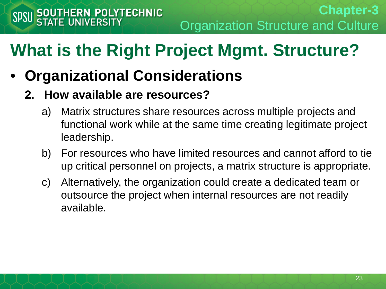**Chapter-3** Organization Structure and Culture

# **What is the Right Project Mgmt. Structure?**

• **Organizational Considerations**

#### **2. How available are resources?**

- a) Matrix structures share resources across multiple projects and functional work while at the same time creating legitimate project leadership.
- b) For resources who have limited resources and cannot afford to tie up critical personnel on projects, a matrix structure is appropriate.
- c) Alternatively, the organization could create a dedicated team or outsource the project when internal resources are not readily available.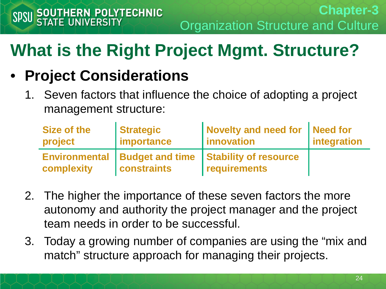# **What is the Right Project Mgmt. Structure?**

#### • **Project Considerations**

1. Seven factors that influence the choice of adopting a project management structure:

| Size of the          | <b>Strategic</b>       | Novelty and need for Need for | integration |
|----------------------|------------------------|-------------------------------|-------------|
| project              | importance             | <b>linnovation</b>            |             |
| <b>Environmental</b> | <b>Budget and time</b> | <b>Stability of resource</b>  |             |
| complexity           | <b>constraints</b>     | requirements                  |             |

- 2. The higher the importance of these seven factors the more autonomy and authority the project manager and the project team needs in order to be successful.
- 3. Today a growing number of companies are using the "mix and match" structure approach for managing their projects.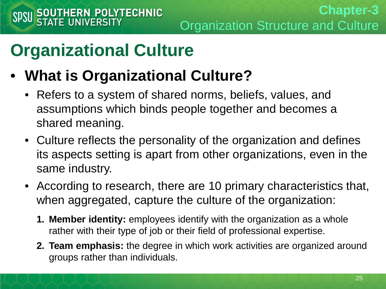- **What is Organizational Culture?**
	- Refers to a system of shared norms, beliefs, values, and assumptions which binds people together and becomes a shared meaning.
	- Culture reflects the personality of the organization and defines its aspects setting is apart from other organizations, even in the same industry.
	- According to research, there are 10 primary characteristics that, when aggregated, capture the culture of the organization:
		- **1. Member identity:** employees identify with the organization as a whole rather with their type of job or their field of professional expertise.
		- **2. Team emphasis:** the degree in which work activities are organized around groups rather than individuals.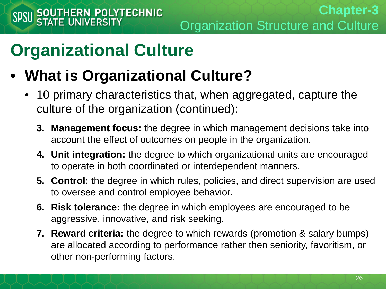- **What is Organizational Culture?**
	- 10 primary characteristics that, when aggregated, capture the culture of the organization (continued):
		- **3. Management focus:** the degree in which management decisions take into account the effect of outcomes on people in the organization.
		- **4. Unit integration:** the degree to which organizational units are encouraged to operate in both coordinated or interdependent manners.
		- **5. Control:** the degree in which rules, policies, and direct supervision are used to oversee and control employee behavior.
		- **6. Risk tolerance:** the degree in which employees are encouraged to be aggressive, innovative, and risk seeking.
		- **7. Reward criteria:** the degree to which rewards (promotion & salary bumps) are allocated according to performance rather then seniority, favoritism, or other non-performing factors.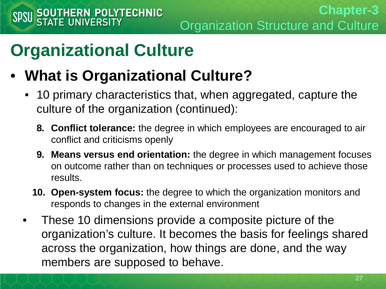- **What is Organizational Culture?**
	- 10 primary characteristics that, when aggregated, capture the culture of the organization (continued):
		- **8. Conflict tolerance:** the degree in which employees are encouraged to air conflict and criticisms openly
		- **9. Means versus end orientation:** the degree in which management focuses on outcome rather than on techniques or processes used to achieve those results.
		- **10. Open-system focus:** the degree to which the organization monitors and responds to changes in the external environment
	- These 10 dimensions provide a composite picture of the organization's culture. It becomes the basis for feelings shared across the organization, how things are done, and the way members are supposed to behave.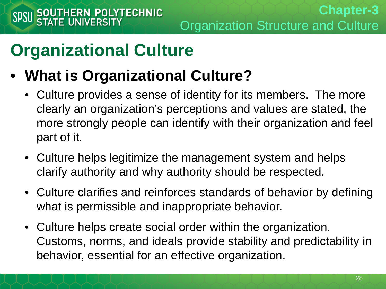- **What is Organizational Culture?**
	- Culture provides a sense of identity for its members. The more clearly an organization's perceptions and values are stated, the more strongly people can identify with their organization and feel part of it.
	- Culture helps legitimize the management system and helps clarify authority and why authority should be respected.
	- Culture clarifies and reinforces standards of behavior by defining what is permissible and inappropriate behavior.
	- Culture helps create social order within the organization. Customs, norms, and ideals provide stability and predictability in behavior, essential for an effective organization.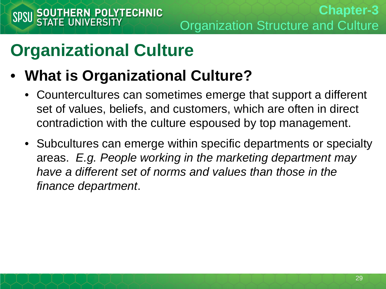- **What is Organizational Culture?**
	- Countercultures can sometimes emerge that support a different set of values, beliefs, and customers, which are often in direct contradiction with the culture espoused by top management.
	- Subcultures can emerge within specific departments or specialty areas. *E.g. People working in the marketing department may have a different set of norms and values than those in the finance department*.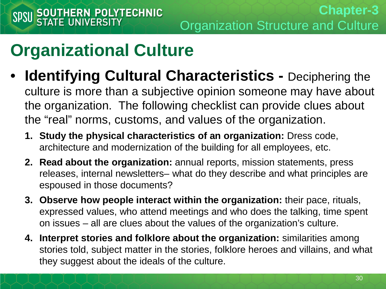• **Identifying Cultural Characteristics -** Deciphering the

culture is more than a subjective opinion someone may have about the organization. The following checklist can provide clues about the "real" norms, customs, and values of the organization.

- **1. Study the physical characteristics of an organization:** Dress code, architecture and modernization of the building for all employees, etc.
- **2. Read about the organization:** annual reports, mission statements, press releases, internal newsletters– what do they describe and what principles are espoused in those documents?
- **3. Observe how people interact within the organization:** their pace, rituals, expressed values, who attend meetings and who does the talking, time spent on issues – all are clues about the values of the organization's culture.
- **4. Interpret stories and folklore about the organization:** similarities among stories told, subject matter in the stories, folklore heroes and villains, and what they suggest about the ideals of the culture.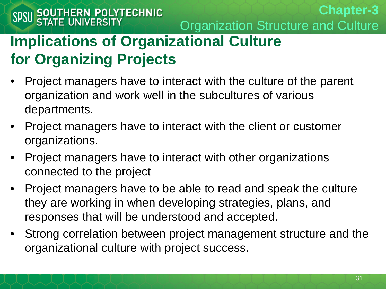#### **Implications of Organizational Culture for Organizing Projects**

- Project managers have to interact with the culture of the parent organization and work well in the subcultures of various departments.
- Project managers have to interact with the client or customer organizations.
- Project managers have to interact with other organizations connected to the project
- Project managers have to be able to read and speak the culture they are working in when developing strategies, plans, and responses that will be understood and accepted.
- Strong correlation between project management structure and the organizational culture with project success.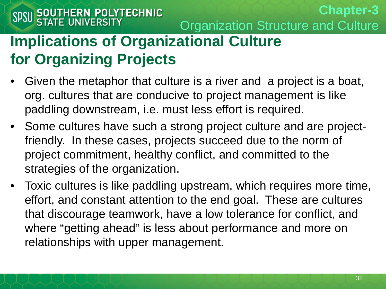#### **Implications of Organizational Culture for Organizing Projects**

- Given the metaphor that culture is a river and a project is a boat, org. cultures that are conducive to project management is like paddling downstream, i.e. must less effort is required.
- Some cultures have such a strong project culture and are projectfriendly. In these cases, projects succeed due to the norm of project commitment, healthy conflict, and committed to the strategies of the organization.
- Toxic cultures is like paddling upstream, which requires more time, effort, and constant attention to the end goal. These are cultures that discourage teamwork, have a low tolerance for conflict, and where "getting ahead" is less about performance and more on relationships with upper management.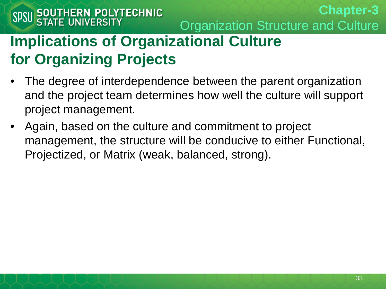**Chapter-3** Organization Structure and Culture

#### **Implications of Organizational Culture for Organizing Projects**

- The degree of interdependence between the parent organization and the project team determines how well the culture will support project management.
- Again, based on the culture and commitment to project management, the structure will be conducive to either Functional, Projectized, or Matrix (weak, balanced, strong).